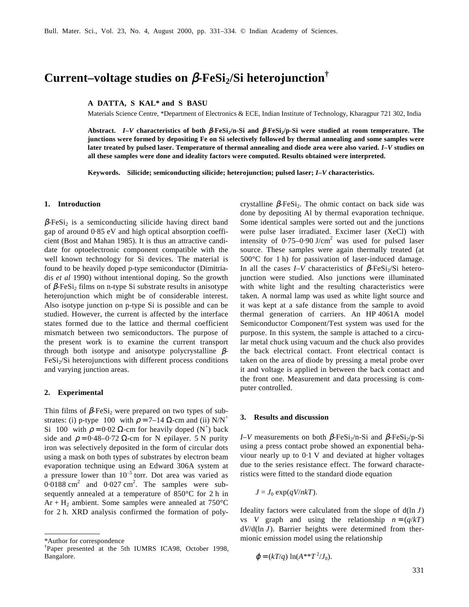# **Current–voltage studies on β-FeSi**<sub>2</sub>/Si heterojunction<sup>†</sup>

**A DATTA, S KAL\* and S BASU**

Materials Science Centre, \*Department of Electronics & ECE, Indian Institute of Technology, Kharagpur 721 302, India

Abstract. *I*–*V* characteristics of both β-FeSi<sub>2</sub>/n-Si and β-FeSi<sub>2</sub>/p-Si were studied at room temperature. The **junctions were formed by depositing Fe on Si selectively followed by thermal annealing and some samples were later treated by pulsed laser. Temperature of thermal annealing and diode area were also varied.** *I***–***V* **studies on all these samples were done and ideality factors were computed. Results obtained were interpreted.**

**Keywords. Silicide; semiconducting silicide; heterojunction; pulsed laser;** *I***–***V* **characteristics.**

#### **1. Introduction**

 $\beta$ -FeSi<sub>2</sub> is a semiconducting silicide having direct band gap of around 0·85 eV and high optical absorption coefficient (Bost and Mahan 1985). It is thus an attractive candidate for optoelectronic component compatible with the well known technology for Si devices. The material is found to be heavily doped p-type semiconductor (Dimitriadis *et al* 1990) without intentional doping. So the growth of  $\beta$ -FeSi<sub>2</sub> films on n-type Si substrate results in anisotype heterojunction which might be of considerable interest. Also isotype junction on p-type Si is possible and can be studied. However, the current is affected by the interface states formed due to the lattice and thermal coefficient mismatch between two semiconductors. The purpose of the present work is to examine the current transport through both isotype and anisotype polycrystalline  $\beta$ - $FeSi<sub>2</sub>/Si$  heterojunctions with different process conditions and varying junction areas.

## **2. Experimental**

Thin films of  $\beta$ -FeSi<sub>2</sub> were prepared on two types of substrates: (i) p-type  $\langle 100 \rangle$  with  $\rho = 7{\text{--}}14 \Omega$ -cm and (ii) N/N<sup>+</sup> Si  $\langle 100 \rangle$  with  $\rho = 0.02 \Omega$ -cm for heavily doped  $(N^+)$  back side and  $\rho = 0.48 - 0.72$  Ω-cm for N epilayer. 5 N purity iron was selectively deposited in the form of circular dots using a mask on both types of substrates by electron beam evaporation technique using an Edward 306A system at a pressure lower than  $10^{-5}$  torr. Dot area was varied as  $0.0188$  cm<sup>2</sup> and  $0.027$  cm<sup>2</sup>. The samples were subsequently annealed at a temperature of 850°C for 2 h in Ar + H<sub>2</sub> ambient. Some samples were annealed at  $750^{\circ}$ C for 2 h. XRD analysis confirmed the formation of poly-

crystalline  $\beta$ -FeSi<sub>2</sub>. The ohmic contact on back side was done by depositing Al by thermal evaporation technique. Some identical samples were sorted out and the junctions were pulse laser irradiated. Excimer laser (XeCl) with intensity of  $0.75-0.90$  J/cm<sup>2</sup> was used for pulsed laser source. These samples were again thermally treated (at 500°C for 1 h) for passivation of laser-induced damage. In all the cases *I–V* characteristics of  $\beta$ -FeSi<sub>2</sub>/Si heterojunction were studied. Also junctions were illuminated with white light and the resulting characteristics were taken. A normal lamp was used as white light source and it was kept at a safe distance from the sample to avoid thermal generation of carriers. An HP 4061A model Semiconductor Component/Test system was used for the purpose. In this system, the sample is attached to a circular metal chuck using vacuum and the chuck also provides the back electrical contact. Front electrical contact is taken on the area of diode by pressing a metal probe over it and voltage is applied in between the back contact and the front one. Measurement and data processing is computer controlled.

#### **3. Results and discussion**

*I–V* measurements on both  $β$ -FeSi<sub>2</sub>/n-Si and  $β$ -FeSi<sub>2</sub>/p-Si using a press contact probe showed an exponential behaviour nearly up to 0·1 V and deviated at higher voltages due to the series resistance effect. The forward characteristics were fitted to the standard diode equation

$$
J = J_0 \exp(qV/nkT).
$$

Ideality factors were calculated from the slope of d(ln *J*) vs *V* graph and using the relationship  $n = (q/kT)$ d*V*/d(ln *J*). Barrier heights were determined from thermionic emission model using the relationship

$$
\varphi = (kT/q) \ln(A^{**}T^2/J_0).
$$

<sup>\*</sup>Author for correspondence

<sup>†</sup> Paper presented at the 5th IUMRS ICA98, October 1998, Bangalore.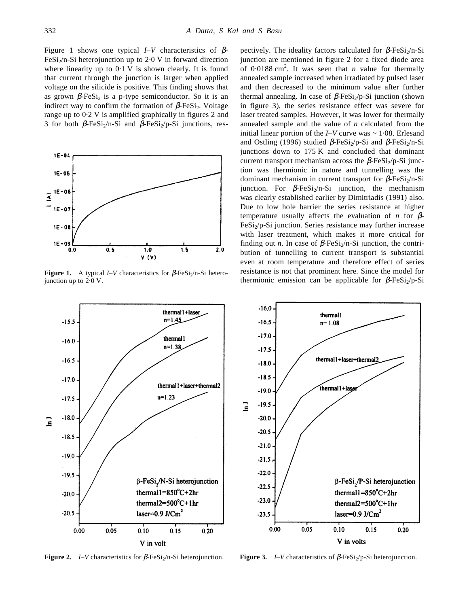Figure 1 shows one typical  $I-V$  characteristics of  $\beta$ - $FeSi<sub>2</sub>/n-Si heterojunction up to 2.0 V in forward direction$ where linearity up to  $0.1$  V is shown clearly. It is found that current through the junction is larger when applied voltage on the silicide is positive. This finding shows that as grown  $\beta$ -FeSi<sub>2</sub> is a p-type semiconductor. So it is an indirect way to confirm the formation of  $\beta$ -FeSi<sub>2</sub>. Voltage range up to 0·2 V is amplified graphically in figures 2 and 3 for both  $\beta$ -FeSi<sub>2</sub>/n-Si and  $\beta$ -FeSi<sub>2</sub>/p-Si junctions, res-



**Figure 1.** A typical *I–V* characteristics for  $\beta$ -FeSi<sub>2</sub>/n-Si heterojunction up to 2·0 V.

pectively. The ideality factors calculated for  $\beta$ -FeSi<sub>2</sub>/n-Si junction are mentioned in figure 2 for a fixed diode area of  $0.0188 \text{ cm}^2$ . It was seen that *n* value for thermally annealed sample increased when irradiated by pulsed laser and then decreased to the minimum value after further thermal annealing. In case of  $\beta$ -FeSi<sub>2</sub>/p-Si junction (shown in figure 3), the series resistance effect was severe for laser treated samples. However, it was lower for thermally annealed sample and the value of *n* calculated from the initial linear portion of the *I–V* curve was ~ 1·08. Erlesand and Ostling (1996) studied  $\beta$ -FeSi<sub>2</sub>/p-Si and  $\beta$ -FeSi<sub>2</sub>/n-Si junctions down to 175 K and concluded that dominant current transport mechanism across the  $\beta$ -FeSi<sub>2</sub>/p-Si junction was thermionic in nature and tunnelling was the dominant mechanism in current transport for  $β$ -FeSi<sub>2</sub>/n-Si junction. For β-FeSi<sub>2</sub>/n-Si junction, the mechanism was clearly established earlier by Dimitriadis (1991) also. Due to low hole barrier the series resistance at higher temperature usually affects the evaluation of *n* for β-FeSi<sub>2</sub>/p-Si junction. Series resistance may further increase with laser treatment, which makes it more critical for finding out *n*. In case of  $\beta$ -FeSi<sub>2</sub>/n-Si junction, the contribution of tunnelling to current transport is substantial even at room temperature and therefore effect of series resistance is not that prominent here. Since the model for thermionic emission can be applicable for  $\beta$ -FeSi<sub>2</sub>/p-Si



**Figure 2.** *I–V* characteristics for β-FeSi<sub>2</sub>/n-Si heterojunction. **Figure 3.** *I–V* characteristics of β-FeSi<sub>2</sub>/p-Si heterojunction.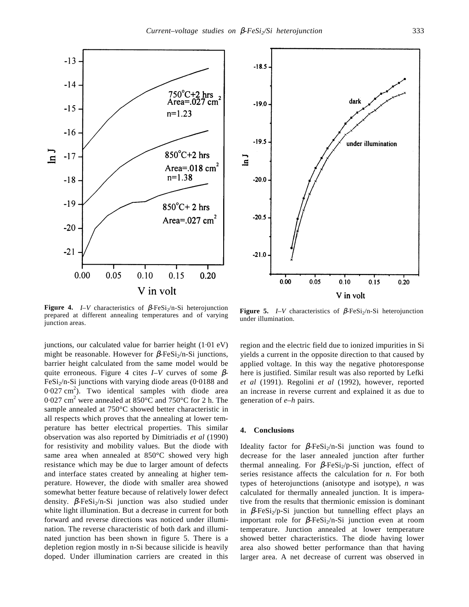

**Figure 4.** *I–V* characteristics of  $\beta$ -FeSi<sub>2</sub>/n-Si heterojunction prepared at different annealing temperatures and of varying junction areas.

junctions, our calculated value for barrier height (1·01 eV) might be reasonable. However for  $\beta$ -FeSi<sub>2</sub>/n-Si junctions, barrier height calculated from the same model would be quite erroneous. Figure 4 cites *I–V* curves of some β-FeSi<sub>2</sub>/n-Si junctions with varying diode areas  $(0.0188$  and  $0.027$  cm<sup>2</sup>). Two identical samples with diode area 0.027 cm<sup>2</sup> were annealed at 850°C and 750°C for 2 h. The sample annealed at 750°C showed better characteristic in all respects which proves that the annealing at lower temperature has better electrical properties. This similar observation was also reported by Dimitriadis *et al* (1990) for resistivity and mobility values. But the diode with same area when annealed at 850°C showed very high resistance which may be due to larger amount of defects and interface states created by annealing at higher temperature. However, the diode with smaller area showed somewhat better feature because of relatively lower defect density.  $\beta$ -FeSi<sub>2</sub>/n-Si junction was also studied under white light illumination. But a decrease in current for both forward and reverse directions was noticed under illumination. The reverse characteristic of both dark and illuminated junction has been shown in figure 5. There is a depletion region mostly in n-Si because silicide is heavily doped. Under illumination carriers are created in this



**Figure 5.** *I–V* characteristics of  $\beta$ -FeSi<sub>2</sub>/n-Si heterojunction under illumination.

region and the electric field due to ionized impurities in Si yields a current in the opposite direction to that caused by applied voltage. In this way the negative photoresponse here is justified. Similar result was also reported by Lefki *et al* (1991). Regolini *et al* (1992), however, reported an increase in reverse current and explained it as due to generation of *e*–*h* pairs.

### **4. Conclusions**

Ideality factor for  $β$ -FeSi<sub>2</sub>/n-Si junction was found to decrease for the laser annealed junction after further thermal annealing. For  $\beta$ -FeSi<sub>2</sub>/p-Si junction, effect of series resistance affects the calculation for *n*. For both types of heterojunctions (anisotype and isotype), *n* was calculated for thermally annealed junction. It is imperative from the results that thermionic emission is dominant in  $\beta$ -FeSi<sub>2</sub>/p-Si junction but tunnelling effect plays an important role for  $\beta$ -FeSi<sub>2</sub>/n-Si junction even at room temperature. Junction annealed at lower temperature showed better characteristics. The diode having lower area also showed better performance than that having larger area. A net decrease of current was observed in